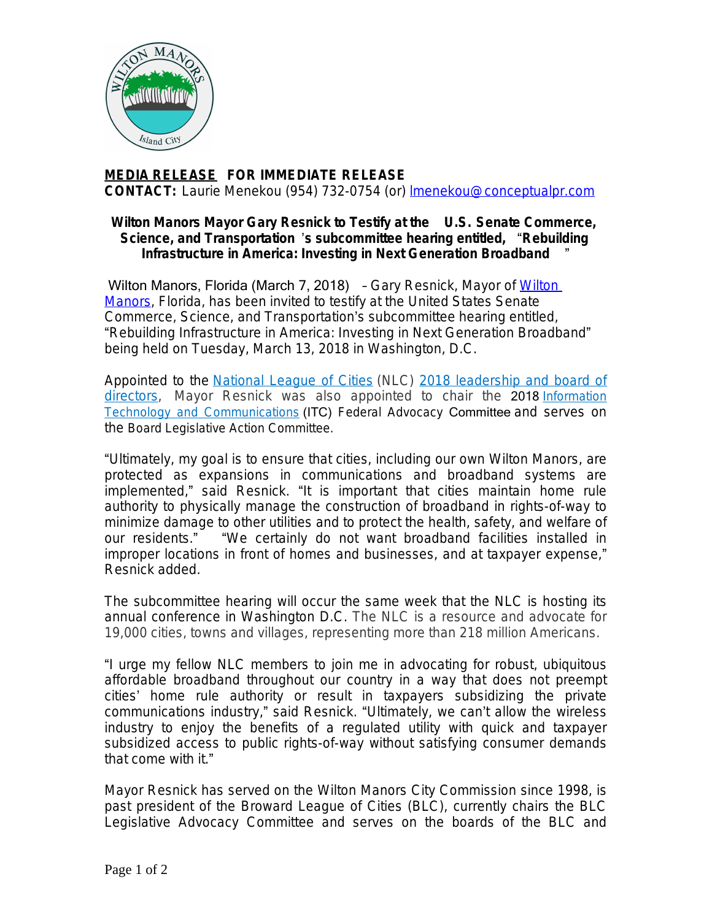

## **MEDIA RELEASE FOR IMMEDIATE RELEASE CONTACT:** Laurie Menekou (954) 732-0754 (or) [lmenekou@conceptualpr.com](mailto:lmenekou@conceptualpr.com)

## **Wilton Manors Mayor Gary Resnick to Testify at the U.S. Senate Commerce, Science, and Transportation** '**s subcommittee hearing entitled,** "**Rebuilding Infrastructure in America: Investing in Next Generation Broadband** "

Wilton Manors, Florida (March 7, 2018) - Gary Resnick, Mayor of Wilton Manors, Florida, has been invited to testify at the United States Senate Commerce, Science, and Transportation's subcommittee hearing entitled, "Rebuilding Infrastructure in America: Investing in Next Generation Broadband" being held on Tuesday, March 13, 2018 in Washington, D.C.

Appointed to the [National League of Cities](http://www.nlc.org/) (NLC) [2018 leadership and board of](http://nlc.org/article/national-league-of-cities-announces-2018-leadership-and-board-of-directors) directors, Mayor Resnick was also appointed to chair the 2018 *[Information](http://www.nlc.org/influence-federal-policy/policy-committees/information-technology-and-communications) Technology and Communications* (ITC) Federal Advocacy Committee and serves on the Board Legislative Action Committee.

"Ultimately, my goal is to ensure that cities, including our own Wilton Manors, are protected as expansions in communications and broadband systems are implemented," said Resnick. "It is important that cities maintain home rule authority to physically manage the construction of broadband in rights-of-way to minimize damage to other utilities and to protect the health, safety, and welfare of our residents." "We certainly do not want broadband facilities installed in improper locations in front of homes and businesses, and at taxpayer expense," Resnick added.

The subcommittee hearing will occur the same week that the NLC is hosting its annual conference in Washington D.C. The NLC is a resource and advocate for 19,000 cities, towns and villages, representing more than 218 million Americans.

"I urge my fellow NLC members to join me in advocating for robust, ubiquitous affordable broadband throughout our country in a way that does not preempt cities' home rule authority or result in taxpayers subsidizing the private communications industry," said Resnick. "Ultimately, we can't allow the wireless industry to enjoy the benefits of a regulated utility with quick and taxpayer subsidized access to public rights-of-way without satisfying consumer demands that come with it."

Mayor Resnick has served on the Wilton Manors City Commission since 1998, is past president of the Broward League of Cities (BLC), currently chairs the BLC Legislative Advocacy Committee and serves on the boards of the BLC and